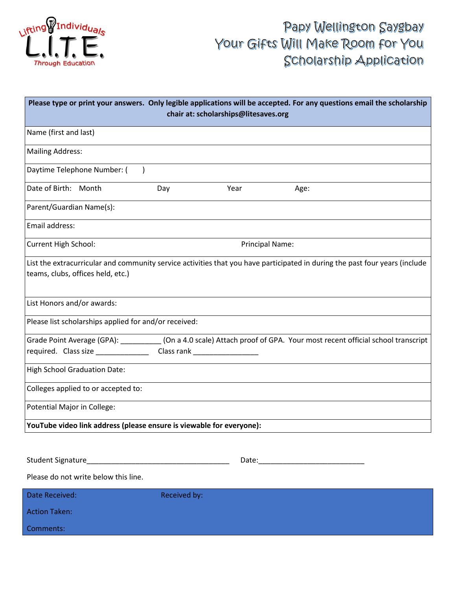

# Papy Wellington Saygbay Your Gifts Will Make Room for You Scholarship Application

| Please type or print your answers. Only legible applications will be accepted. For any questions email the scholarship<br>chair at: scholarships@litesaves.org |                               |      |                                                                                                                             |
|----------------------------------------------------------------------------------------------------------------------------------------------------------------|-------------------------------|------|-----------------------------------------------------------------------------------------------------------------------------|
| Name (first and last)                                                                                                                                          |                               |      |                                                                                                                             |
| <b>Mailing Address:</b>                                                                                                                                        |                               |      |                                                                                                                             |
| Daytime Telephone Number: (                                                                                                                                    |                               |      |                                                                                                                             |
| Date of Birth: Month                                                                                                                                           | Day                           | Year | Age:                                                                                                                        |
| Parent/Guardian Name(s):                                                                                                                                       |                               |      |                                                                                                                             |
| Email address:                                                                                                                                                 |                               |      |                                                                                                                             |
| <b>Current High School:</b>                                                                                                                                    | <b>Principal Name:</b>        |      |                                                                                                                             |
| teams, clubs, offices held, etc.)                                                                                                                              |                               |      | List the extracurricular and community service activities that you have participated in during the past four years (include |
| List Honors and/or awards:                                                                                                                                     |                               |      |                                                                                                                             |
| Please list scholarships applied for and/or received:                                                                                                          |                               |      |                                                                                                                             |
| required. Class size ______________                                                                                                                            | Class rank __________________ |      | Grade Point Average (GPA): ___________(On a 4.0 scale) Attach proof of GPA. Your most recent official school transcript     |
| High School Graduation Date:                                                                                                                                   |                               |      |                                                                                                                             |
| Colleges applied to or accepted to:                                                                                                                            |                               |      |                                                                                                                             |
| Potential Major in College:                                                                                                                                    |                               |      |                                                                                                                             |
| YouTube video link address (please ensure is viewable for everyone):                                                                                           |                               |      |                                                                                                                             |
|                                                                                                                                                                |                               |      |                                                                                                                             |
|                                                                                                                                                                |                               |      |                                                                                                                             |
| Please do not write below this line.                                                                                                                           |                               |      |                                                                                                                             |
| Date Received:                                                                                                                                                 | Received by:                  |      |                                                                                                                             |
| <b>Action Taken:</b>                                                                                                                                           |                               |      |                                                                                                                             |
| Comments:                                                                                                                                                      |                               |      |                                                                                                                             |